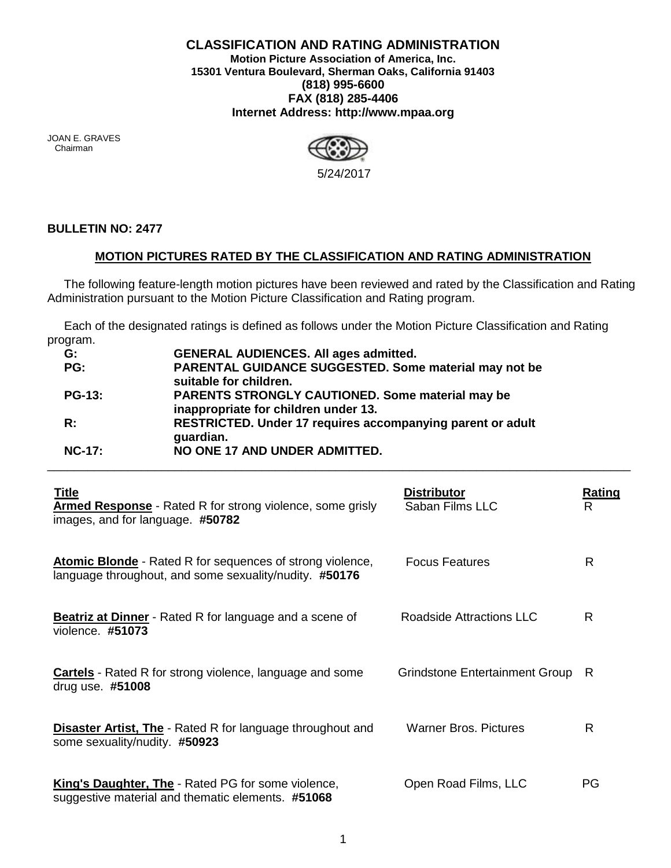## **CLASSIFICATION AND RATING ADMINISTRATION Motion Picture Association of America, Inc. 15301 Ventura Boulevard, Sherman Oaks, California 91403 (818) 995-6600 FAX (818) 285-4406 Internet Address: http://www.mpaa.org**

JOAN E. GRAVES Chairman



## **BULLETIN NO: 2477**

## **MOTION PICTURES RATED BY THE CLASSIFICATION AND RATING ADMINISTRATION**

 The following feature-length motion pictures have been reviewed and rated by the Classification and Rating Administration pursuant to the Motion Picture Classification and Rating program.

 Each of the designated ratings is defined as follows under the Motion Picture Classification and Rating program.

| G:             | <b>GENERAL AUDIENCES. All ages admitted.</b>                                                    |
|----------------|-------------------------------------------------------------------------------------------------|
| PG:            | PARENTAL GUIDANCE SUGGESTED. Some material may not be<br>suitable for children.                 |
| $PG-13:$       | <b>PARENTS STRONGLY CAUTIONED. Some material may be</b><br>inappropriate for children under 13. |
| $\mathsf{R}$ : | RESTRICTED. Under 17 requires accompanying parent or adult<br>guardian.                         |
| <b>NC-17:</b>  | NO ONE 17 AND UNDER ADMITTED.                                                                   |

| <b>Title</b><br><b>Armed Response</b> - Rated R for strong violence, some grisly<br>images, and for language. #50782       | <b>Distributor</b><br>Saban Films LLC | <b>Rating</b><br>R |
|----------------------------------------------------------------------------------------------------------------------------|---------------------------------------|--------------------|
| <b>Atomic Blonde</b> - Rated R for sequences of strong violence,<br>language throughout, and some sexuality/nudity. #50176 | <b>Focus Features</b>                 | R                  |
| <b>Beatriz at Dinner</b> - Rated R for language and a scene of<br>violence. #51073                                         | Roadside Attractions LLC              | R                  |
| <b>Cartels</b> - Rated R for strong violence, language and some<br>drug use. $#51008$                                      | Grindstone Entertainment Group        | R                  |
| <b>Disaster Artist, The</b> - Rated R for language throughout and<br>some sexuality/nudity. #50923                         | <b>Warner Bros, Pictures</b>          | R                  |
| King's Daughter, The - Rated PG for some violence,<br>suggestive material and thematic elements. #51068                    | Open Road Films, LLC                  | PG                 |

\_\_\_\_\_\_\_\_\_\_\_\_\_\_\_\_\_\_\_\_\_\_\_\_\_\_\_\_\_\_\_\_\_\_\_\_\_\_\_\_\_\_\_\_\_\_\_\_\_\_\_\_\_\_\_\_\_\_\_\_\_\_\_\_\_\_\_\_\_\_\_\_\_\_\_\_\_\_\_\_\_\_\_\_\_\_\_